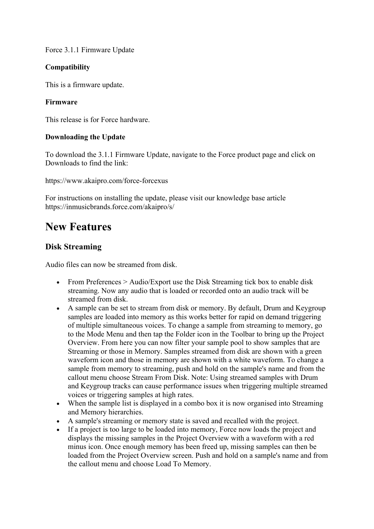Force 3.1.1 Firmware Update

#### **Compatibility**

This is a firmware update.

#### **Firmware**

This release is for Force hardware.

#### **Downloading the Update**

To download the 3.1.1 Firmware Update, navigate to the Force product page and click on Downloads to find the link:

https://www.akaipro.com/force-forcexus

For instructions on installing the update, please visit our knowledge base article https://inmusicbrands.force.com/akaipro/s/

# **New Features**

# **Disk Streaming**

Audio files can now be streamed from disk.

- From Preferences > Audio/Export use the Disk Streaming tick box to enable disk streaming. Now any audio that is loaded or recorded onto an audio track will be streamed from disk.
- A sample can be set to stream from disk or memory. By default, Drum and Keygroup samples are loaded into memory as this works better for rapid on demand triggering of multiple simultaneous voices. To change a sample from streaming to memory, go to the Mode Menu and then tap the Folder icon in the Toolbar to bring up the Project Overview. From here you can now filter your sample pool to show samples that are Streaming or those in Memory. Samples streamed from disk are shown with a green waveform icon and those in memory are shown with a white waveform. To change a sample from memory to streaming, push and hold on the sample's name and from the callout menu choose Stream From Disk. Note: Using streamed samples with Drum and Keygroup tracks can cause performance issues when triggering multiple streamed voices or triggering samples at high rates.
- When the sample list is displayed in a combo box it is now organised into Streaming and Memory hierarchies.
- A sample's streaming or memory state is saved and recalled with the project.
- If a project is too large to be loaded into memory, Force now loads the project and displays the missing samples in the Project Overview with a waveform with a red minus icon. Once enough memory has been freed up, missing samples can then be loaded from the Project Overview screen. Push and hold on a sample's name and from the callout menu and choose Load To Memory.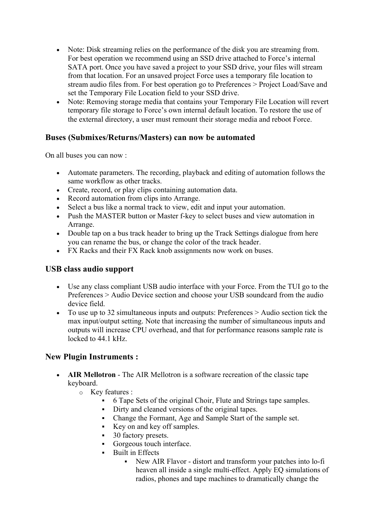- Note: Disk streaming relies on the performance of the disk you are streaming from. For best operation we recommend using an SSD drive attached to Force's internal SATA port. Once you have saved a project to your SSD drive, your files will stream from that location. For an unsaved project Force uses a temporary file location to stream audio files from. For best operation go to Preferences > Project Load/Save and set the Temporary File Location field to your SSD drive.
- Note: Removing storage media that contains your Temporary File Location will revert temporary file storage to Force's own internal default location. To restore the use of the external directory, a user must remount their storage media and reboot Force.

#### **Buses (Submixes/Returns/Masters) can now be automated**

On all buses you can now :

- Automate parameters. The recording, playback and editing of automation follows the same workflow as other tracks.
- Create, record, or play clips containing automation data.
- Record automation from clips into Arrange.
- Select a bus like a normal track to view, edit and input your automation.
- Push the MASTER button or Master f-key to select buses and view automation in Arrange.
- Double tap on a bus track header to bring up the Track Settings dialogue from here you can rename the bus, or change the color of the track header.
- FX Racks and their FX Rack knob assignments now work on buses.

#### **USB class audio support**

- Use any class compliant USB audio interface with your Force. From the TUI go to the Preferences > Audio Device section and choose your USB soundcard from the audio device field.
- To use up to 32 simultaneous inputs and outputs: Preferences > Audio section tick the max input/output setting. Note that increasing the number of simultaneous inputs and outputs will increase CPU overhead, and that for performance reasons sample rate is locked to 44.1 kHz.

# **New Plugin Instruments :**

- **AIR Mellotron** The AIR Mellotron is a software recreation of the classic tape keyboard.
	- o Key features :
		- § 6 Tape Sets of the original Choir, Flute and Strings tape samples.
		- Dirty and cleaned versions of the original tapes.
		- § Change the Formant, Age and Sample Start of the sample set.
		- Key on and key off samples.
		- 30 factory presets.
		- Gorgeous touch interface.
		- Built in Effects
			- § New AIR Flavor distort and transform your patches into lo-fi heaven all inside a single multi-effect. Apply EQ simulations of radios, phones and tape machines to dramatically change the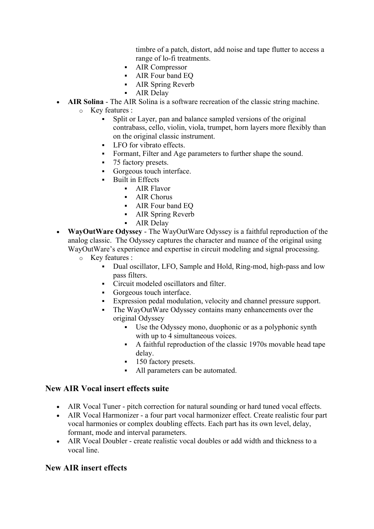timbre of a patch, distort, add noise and tape flutter to access a range of lo-fi treatments.

- AIR Compressor
- § AIR Four band EQ
- § AIR Spring Reverb
- AIR Delay
- **AIR Solina** The AIR Solina is a software recreation of the classic string machine.
	- o Key features :
		- § Split or Layer, pan and balance sampled versions of the original contrabass, cello, violin, viola, trumpet, horn layers more flexibly than on the original classic instrument.
		- LFO for vibrato effects.
		- Formant, Filter and Age parameters to further shape the sound.
		- § 75 factory presets.
		- Gorgeous touch interface.
		- § Built in Effects
			- § AIR Flavor
			- AIR Chorus
			- § AIR Four band EQ
			- § AIR Spring Reverb
			- AIR Delay
- **WayOutWare Odyssey** The WayOutWare Odyssey is a faithful reproduction of the analog classic. The Odyssey captures the character and nuance of the original using WayOutWare's experience and expertise in circuit modeling and signal processing.
	- o Key features :
		- § Dual oscillator, LFO, Sample and Hold, Ring-mod, high-pass and low pass filters.
		- § Circuit modeled oscillators and filter.
		- Gorgeous touch interface.
		- Expression pedal modulation, velocity and channel pressure support.
		- The WayOutWare Odyssey contains many enhancements over the original Odyssey
			- § Use the Odyssey mono, duophonic or as a polyphonic synth with up to 4 simultaneous voices.
			- § A faithful reproduction of the classic 1970s movable head tape delay.
			- **•** 150 factory presets.
			- All parameters can be automated.

#### **New AIR Vocal insert effects suite**

- AIR Vocal Tuner pitch correction for natural sounding or hard tuned vocal effects.
- AIR Vocal Harmonizer a four part vocal harmonizer effect. Create realistic four part vocal harmonies or complex doubling effects. Each part has its own level, delay, formant, mode and interval parameters.
- AIR Vocal Doubler create realistic vocal doubles or add width and thickness to a vocal line.

#### **New AIR insert effects**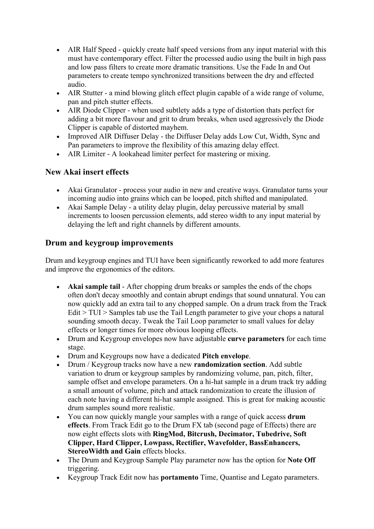- AIR Half Speed quickly create half speed versions from any input material with this must have contemporary effect. Filter the processed audio using the built in high pass and low pass filters to create more dramatic transitions. Use the Fade In and Out parameters to create tempo synchronized transitions between the dry and effected audio.
- AIR Stutter a mind blowing glitch effect plugin capable of a wide range of volume, pan and pitch stutter effects.
- AIR Diode Clipper when used subtlety adds a type of distortion thats perfect for adding a bit more flavour and grit to drum breaks, when used aggressively the Diode Clipper is capable of distorted mayhem.
- Improved AIR Diffuser Delay the Diffuser Delay adds Low Cut, Width, Sync and Pan parameters to improve the flexibility of this amazing delay effect.
- AIR Limiter A lookahead limiter perfect for mastering or mixing.

# **New Akai insert effects**

- Akai Granulator process your audio in new and creative ways. Granulator turns your incoming audio into grains which can be looped, pitch shifted and manipulated.
- Akai Sample Delay a utility delay plugin, delay percussive material by small increments to loosen percussion elements, add stereo width to any input material by delaying the left and right channels by different amounts.

#### **Drum and keygroup improvements**

Drum and keygroup engines and TUI have been significantly reworked to add more features and improve the ergonomics of the editors.

- **Akai sample tail** After chopping drum breaks or samples the ends of the chops often don't decay smoothly and contain abrupt endings that sound unnatural. You can now quickly add an extra tail to any chopped sample. On a drum track from the Track Edit > TUI > Samples tab use the Tail Length parameter to give your chops a natural sounding smooth decay. Tweak the Tail Loop parameter to small values for delay effects or longer times for more obvious looping effects.
- Drum and Keygroup envelopes now have adjustable **curve parameters** for each time stage.
- Drum and Keygroups now have a dedicated **Pitch envelope**.
- Drum / Keygroup tracks now have a new **randomization section**. Add subtle variation to drum or keygroup samples by randomizing volume, pan, pitch, filter, sample offset and envelope parameters. On a hi-hat sample in a drum track try adding a small amount of volume, pitch and attack randomization to create the illusion of each note having a different hi-hat sample assigned. This is great for making acoustic drum samples sound more realistic.
- You can now quickly mangle your samples with a range of quick access **drum effects**. From Track Edit go to the Drum FX tab (second page of Effects) there are now eight effects slots with **RingMod, Bitcrush, Decimator, Tubedrive, Soft Clipper, Hard Clipper, Lowpass, Rectifier, Wavefolder, BassEnhancers, StereoWidth and Gain** effects blocks.
- The Drum and Keygroup Sample Play parameter now has the option for **Note Off** triggering.
- Keygroup Track Edit now has **portamento** Time, Quantise and Legato parameters.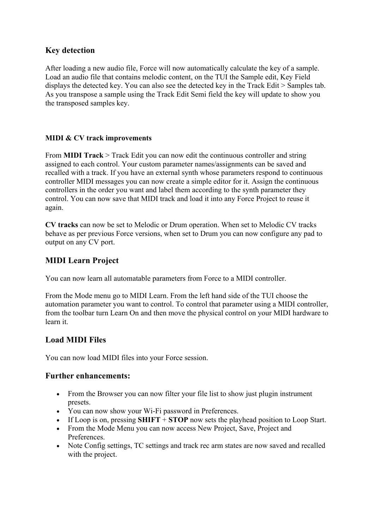#### **Key detection**

After loading a new audio file, Force will now automatically calculate the key of a sample. Load an audio file that contains melodic content, on the TUI the Sample edit, Key Field displays the detected key. You can also see the detected key in the Track Edit > Samples tab. As you transpose a sample using the Track Edit Semi field the key will update to show you the transposed samples key.

#### **MIDI & CV track improvements**

From **MIDI Track** > Track Edit you can now edit the continuous controller and string assigned to each control. Your custom parameter names/assignments can be saved and recalled with a track. If you have an external synth whose parameters respond to continuous controller MIDI messages you can now create a simple editor for it. Assign the continuous controllers in the order you want and label them according to the synth parameter they control. You can now save that MIDI track and load it into any Force Project to reuse it again.

**CV tracks** can now be set to Melodic or Drum operation. When set to Melodic CV tracks behave as per previous Force versions, when set to Drum you can now configure any pad to output on any CV port.

#### **MIDI Learn Project**

You can now learn all automatable parameters from Force to a MIDI controller.

From the Mode menu go to MIDI Learn. From the left hand side of the TUI choose the automation parameter you want to control. To control that parameter using a MIDI controller, from the toolbar turn Learn On and then move the physical control on your MIDI hardware to learn it.

#### **Load MIDI Files**

You can now load MIDI files into your Force session.

#### **Further enhancements:**

- From the Browser you can now filter your file list to show just plugin instrument presets.
- You can now show your Wi-Fi password in Preferences.
- If Loop is on, pressing **SHIFT** + **STOP** now sets the playhead position to Loop Start.
- From the Mode Menu you can now access New Project, Save, Project and Preferences.
- Note Config settings, TC settings and track rec arm states are now saved and recalled with the project.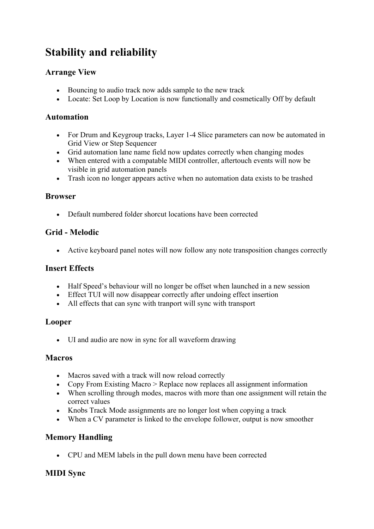# **Stability and reliability**

# **Arrange View**

- Bouncing to audio track now adds sample to the new track
- Locate: Set Loop by Location is now functionally and cosmetically Off by default

#### **Automation**

- For Drum and Keygroup tracks, Layer 1-4 Slice parameters can now be automated in Grid View or Step Sequencer
- Grid automation lane name field now updates correctly when changing modes
- When entered with a compatable MIDI controller, aftertouch events will now be visible in grid automation panels
- Trash icon no longer appears active when no automation data exists to be trashed

#### **Browser**

• Default numbered folder shorcut locations have been corrected

# **Grid - Melodic**

• Active keyboard panel notes will now follow any note transposition changes correctly

#### **Insert Effects**

- Half Speed's behaviour will no longer be offset when launched in a new session
- Effect TUI will now disappear correctly after undoing effect insertion
- All effects that can sync with tranport will sync with transport

#### **Looper**

• UI and audio are now in sync for all waveform drawing

#### **Macros**

- Macros saved with a track will now reload correctly
- Copy From Existing Macro > Replace now replaces all assignment information
- When scrolling through modes, macros with more than one assignment will retain the correct values
- Knobs Track Mode assignments are no longer lost when copying a track
- When a CV parameter is linked to the envelope follower, output is now smoother

# **Memory Handling**

• CPU and MEM labels in the pull down menu have been corrected

# **MIDI Sync**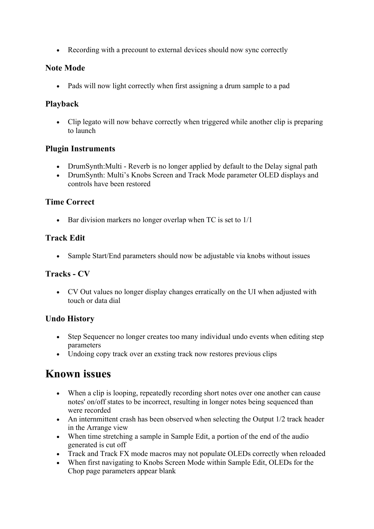• Recording with a precount to external devices should now sync correctly

#### **Note Mode**

• Pads will now light correctly when first assigning a drum sample to a pad

#### **Playback**

• Clip legato will now behave correctly when triggered while another clip is preparing to launch

#### **Plugin Instruments**

- DrumSynth: Multi Reverb is no longer applied by default to the Delay signal path
- DrumSynth: Multi's Knobs Screen and Track Mode parameter OLED displays and controls have been restored

#### **Time Correct**

• Bar division markers no longer overlap when TC is set to  $1/1$ 

# **Track Edit**

• Sample Start/End parameters should now be adjustable via knobs without issues

# **Tracks - CV**

• CV Out values no longer display changes erratically on the UI when adjusted with touch or data dial

# **Undo History**

- Step Sequencer no longer creates too many individual undo events when editing step parameters
- Undoing copy track over an exsting track now restores previous clips

# **Known issues**

- When a clip is looping, repeatedly recording short notes over one another can cause notes' on/off states to be incorrect, resulting in longer notes being sequenced than were recorded
- An internmittent crash has been observed when selecting the Output 1/2 track header in the Arrange view
- When time stretching a sample in Sample Edit, a portion of the end of the audio generated is cut off
- Track and Track FX mode macros may not populate OLEDs correctly when reloaded
- When first navigating to Knobs Screen Mode within Sample Edit, OLEDs for the Chop page parameters appear blank